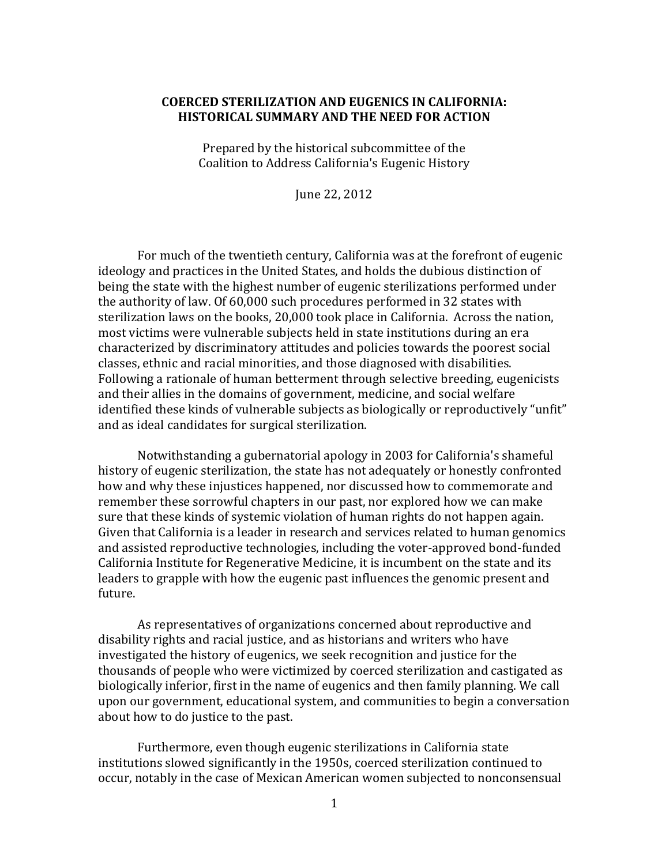# **COERCED STERILIZATION AND EUGENICS IN CALIFORNIA: HISTORICAL SUMMARY AND THE NEED FOR ACTION**

Prepared by the historical subcommittee of the Coalition to Address California's Eugenic History

June 22, 2012

For much of the twentieth century, California was at the forefront of eugenic ideology and practices in the United States, and holds the dubious distinction of being the state with the highest number of eugenic sterilizations performed under the authority of law. Of 60,000 such procedures performed in 32 states with sterilization laws on the books, 20,000 took place in California. Across the nation, most victims were vulnerable subjects held in state institutions during an era characterized by discriminatory attitudes and policies towards the poorest social classes, ethnic and racial minorities, and those diagnosed with disabilities. Following a rationale of human betterment through selective breeding, eugenicists and their allies in the domains of government, medicine, and social welfare identified these kinds of vulnerable subjects as biologically or reproductively "unfit" and as ideal candidates for surgical sterilization.

Notwithstanding a gubernatorial apology in 2003 for California's shameful history of eugenic sterilization, the state has not adequately or honestly confronted how and why these injustices happened, nor discussed how to commemorate and remember these sorrowful chapters in our past, nor explored how we can make sure that these kinds of systemic violation of human rights do not happen again. Given that California is a leader in research and services related to human genomics and assisted reproductive technologies, including the voter-approved bond-funded California Institute for Regenerative Medicine, it is incumbent on the state and its leaders to grapple with how the eugenic past influences the genomic present and future.

As representatives of organizations concerned about reproductive and disability rights and racial justice, and as historians and writers who have investigated the history of eugenics, we seek recognition and justice for the thousands of people who were victimized by coerced sterilization and castigated as biologically inferior, first in the name of eugenics and then family planning. We call upon our government, educational system, and communities to begin a conversation about how to do justice to the past.

Furthermore, even though eugenic sterilizations in California state institutions slowed significantly in the 1950s, coerced sterilization continued to occur, notably in the case of Mexican American women subjected to nonconsensual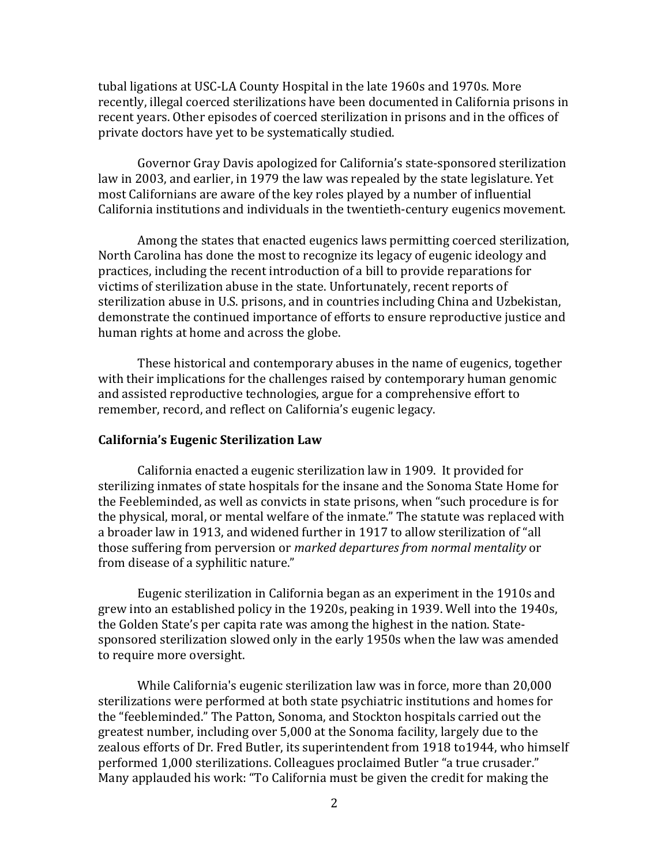tubal ligations at USC-LA County Hospital in the late 1960s and 1970s. More recently, illegal coerced sterilizations have been documented in California prisons in recent years. Other episodes of coerced sterilization in prisons and in the offices of private doctors have yet to be systematically studied.

Governor Gray Davis apologized for California's state-sponsored sterilization law in 2003, and earlier, in 1979 the law was repealed by the state legislature. Yet most Californians are aware of the key roles played by a number of influential California institutions and individuals in the twentieth-century eugenics movement.

Among the states that enacted eugenics laws permitting coerced sterilization, North Carolina has done the most to recognize its legacy of eugenic ideology and practices, including the recent introduction of a bill to provide reparations for victims of sterilization abuse in the state. Unfortunately, recent reports of sterilization abuse in U.S. prisons, and in countries including China and Uzbekistan, demonstrate the continued importance of efforts to ensure reproductive justice and human rights at home and across the globe.

These historical and contemporary abuses in the name of eugenics, together with their implications for the challenges raised by contemporary human genomic and assisted reproductive technologies, argue for a comprehensive effort to remember, record, and reflect on California's eugenic legacy.

## **California's!Eugenic!Sterilization!Law**

California enacted a eugenic sterilization law in 1909. It provided for sterilizing inmates of state hospitals for the insane and the Sonoma State Home for the Feebleminded, as well as convicts in state prisons, when "such procedure is for the physical, moral, or mental welfare of the inmate." The statute was replaced with a broader law in 1913, and widened further in 1917 to allow sterilization of "all those suffering from perversion or *marked departures from normal mentality* or from disease of a syphilitic nature."

Eugenic sterilization in California began as an experiment in the 1910s and grew into an established policy in the 1920s, peaking in 1939. Well into the 1940s, the Golden State's per capita rate was among the highest in the nation. Statesponsored sterilization slowed only in the early 1950s when the law was amended to require more oversight.

While California's eugenic sterilization law was in force, more than 20,000 sterilizations were performed at both state psychiatric institutions and homes for the "feebleminded." The Patton, Sonoma, and Stockton hospitals carried out the greatest number, including over 5,000 at the Sonoma facility, largely due to the zealous efforts of Dr. Fred Butler, its superintendent from 1918 to1944, who himself performed 1,000 sterilizations. Colleagues proclaimed Butler "a true crusader." Many applauded his work: "To California must be given the credit for making the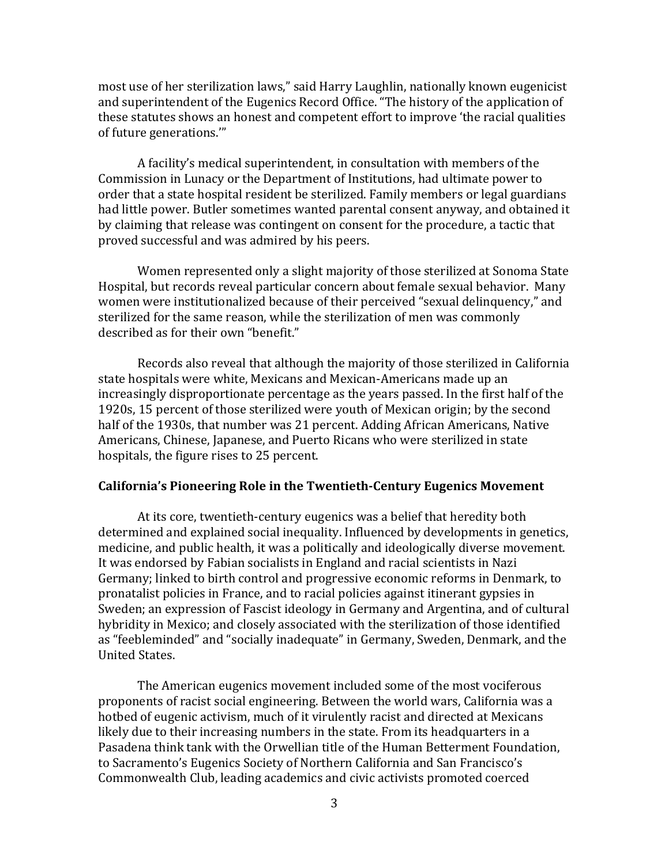most use of her sterilization laws," said Harry Laughlin, nationally known eugenicist and superintendent of the Eugenics Record Office. "The history of the application of these statutes shows an honest and competent effort to improve 'the racial qualities of future generations."

A facility's medical superintendent, in consultation with members of the Commission in Lunacy or the Department of Institutions, had ultimate power to order that a state hospital resident be sterilized. Family members or legal guardians had little power. Butler sometimes wanted parental consent anyway, and obtained it by claiming that release was contingent on consent for the procedure, a tactic that proved successful and was admired by his peers.

Women represented only a slight majority of those sterilized at Sonoma State Hospital, but records reveal particular concern about female sexual behavior. Many women were institutionalized because of their perceived "sexual delinquency," and sterilized for the same reason, while the sterilization of men was commonly described as for their own "benefit."

Records also reveal that although the majority of those sterilized in California state hospitals were white, Mexicans and Mexican-Americans made up an increasingly disproportionate percentage as the years passed. In the first half of the 1920s, 15 percent of those sterilized were youth of Mexican origin; by the second half of the 1930s, that number was 21 percent. Adding African Americans, Native Americans, Chinese, Japanese, and Puerto Ricans who were sterilized in state hospitals, the figure rises to 25 percent.

## **California's Pioneering Role in the Twentieth-Century Eugenics Movement**

At its core, twentieth-century eugenics was a belief that heredity both determined and explained social inequality. Influenced by developments in genetics, medicine, and public health, it was a politically and ideologically diverse movement. It was endorsed by Fabian socialists in England and racial scientists in Nazi Germany; linked to birth control and progressive economic reforms in Denmark, to pronatalist policies in France, and to racial policies against itinerant gypsies in Sweden; an expression of Fascist ideology in Germany and Argentina, and of cultural hybridity in Mexico; and closely associated with the sterilization of those identified as "feebleminded" and "socially inadequate" in Germany, Sweden, Denmark, and the United States.

The American eugenics movement included some of the most vociferous proponents of racist social engineering. Between the world wars, California was a hotbed of eugenic activism, much of it virulently racist and directed at Mexicans likely due to their increasing numbers in the state. From its headquarters in a Pasadena think tank with the Orwellian title of the Human Betterment Foundation, to Sacramento's Eugenics Society of Northern California and San Francisco's Commonwealth Club, leading academics and civic activists promoted coerced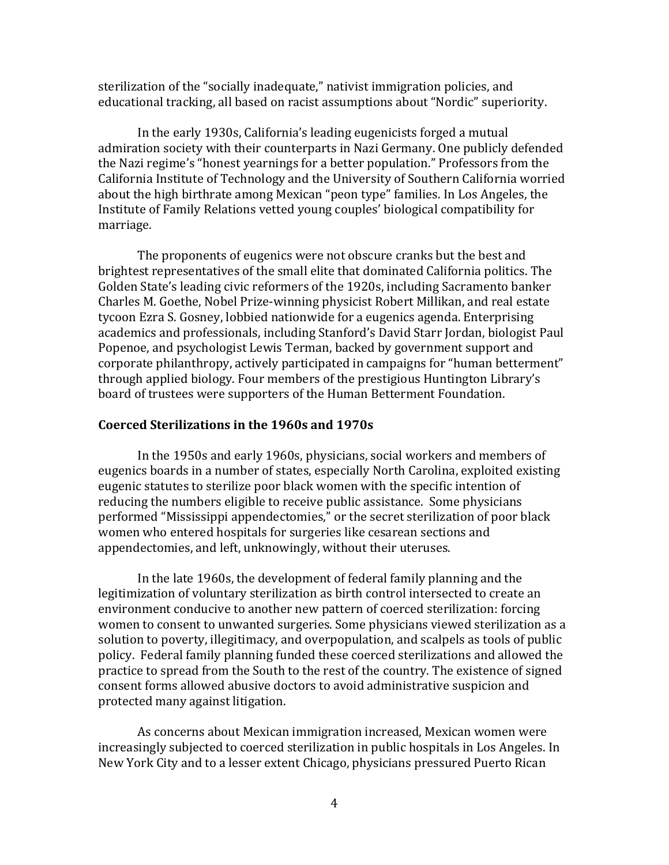sterilization of the "socially inadequate," nativist immigration policies, and educational tracking, all based on racist assumptions about "Nordic" superiority.

In the early 1930s, California's leading eugenicists forged a mutual admiration society with their counterparts in Nazi Germany. One publicly defended the Nazi regime's "honest yearnings for a better population." Professors from the California Institute of Technology and the University of Southern California worried about the high birthrate among Mexican "peon type" families. In Los Angeles, the Institute of Family Relations vetted young couples' biological compatibility for marriage.!

The proponents of eugenics were not obscure cranks but the best and brightest representatives of the small elite that dominated California politics. The Golden State's leading civic reformers of the 1920s, including Sacramento banker Charles M. Goethe, Nobel Prize-winning physicist Robert Millikan, and real estate tycoon Ezra S. Gosney, lobbied nationwide for a eugenics agenda. Enterprising academics and professionals, including Stanford's David Starr Jordan, biologist Paul Popenoe, and psychologist Lewis Terman, backed by government support and corporate philanthropy, actively participated in campaigns for "human betterment" through applied biology. Four members of the prestigious Huntington Library's board of trustees were supporters of the Human Betterment Foundation.

#### **Coerced!Sterilizations!in!the!1960s!and!1970s**

In the 1950s and early 1960s, physicians, social workers and members of eugenics boards in a number of states, especially North Carolina, exploited existing eugenic statutes to sterilize poor black women with the specific intention of reducing the numbers eligible to receive public assistance. Some physicians performed "Mississippi appendectomies," or the secret sterilization of poor black women who entered hospitals for surgeries like cesarean sections and appendectomies, and left, unknowingly, without their uteruses.

In the late 1960s, the development of federal family planning and the legitimization of voluntary sterilization as birth control intersected to create an environment conducive to another new pattern of coerced sterilization: forcing women to consent to unwanted surgeries. Some physicians viewed sterilization as a solution to poverty, illegitimacy, and overpopulation, and scalpels as tools of public policy. Federal family planning funded these coerced sterilizations and allowed the practice to spread from the South to the rest of the country. The existence of signed consent forms allowed abusive doctors to avoid administrative suspicion and protected many against litigation.

As concerns about Mexican immigration increased, Mexican women were increasingly subjected to coerced sterilization in public hospitals in Los Angeles. In New York City and to a lesser extent Chicago, physicians pressured Puerto Rican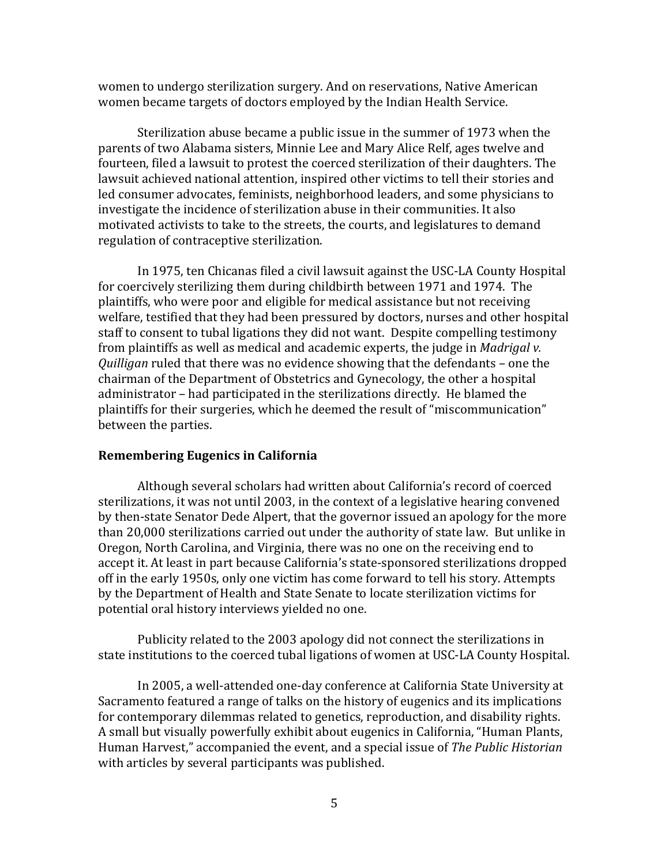women to undergo sterilization surgery. And on reservations, Native American women became targets of doctors employed by the Indian Health Service.

Sterilization abuse became a public issue in the summer of 1973 when the parents of two Alabama sisters, Minnie Lee and Mary Alice Relf, ages twelve and fourteen, filed a lawsuit to protest the coerced sterilization of their daughters. The lawsuit achieved national attention, inspired other victims to tell their stories and led consumer advocates, feminists, neighborhood leaders, and some physicians to  $\overline{a}$ investigate the incidence of sterilization abuse in their communities. It also motivated activists to take to the streets, the courts, and legislatures to demand regulation of contraceptive sterilization.

In 1975, ten Chicanas filed a civil lawsuit against the USC-LA County Hospital for coercively sterilizing them during childbirth between 1971 and 1974. The plaintiffs, who were poor and eligible for medical assistance but not receiving welfare, testified that they had been pressured by doctors, nurses and other hospital staff to consent to tubal ligations they did not want. Despite compelling testimony from plaintiffs as well as medical and academic experts, the judge in *Madrigal v. Quilligan* ruled that there was no evidence showing that the defendants – one the chairman of the Department of Obstetrics and Gynecology, the other a hospital administrator – had participated in the sterilizations directly. He blamed the plaintiffs for their surgeries, which he deemed the result of "miscommunication" between the parties.

#### **Remembering Eugenics in California**

Although several scholars had written about California's record of coerced sterilizations, it was not until 2003, in the context of a legislative hearing convened by then-state Senator Dede Alpert, that the governor issued an apology for the more than 20,000 sterilizations carried out under the authority of state law. But unlike in Oregon, North Carolina, and Virginia, there was no one on the receiving end to accept it. At least in part because California's state-sponsored sterilizations dropped off in the early 1950s, only one victim has come forward to tell his story. Attempts by the Department of Health and State Senate to locate sterilization victims for potential oral history interviews yielded no one.

Publicity related to the 2003 apology did not connect the sterilizations in state institutions to the coerced tubal ligations of women at USC-LA County Hospital.

In 2005, a well-attended one-day conference at California State University at Sacramento featured a range of talks on the history of eugenics and its implications for contemporary dilemmas related to genetics, reproduction, and disability rights. A small but visually powerfully exhibit about eugenics in California, "Human Plants, Human Harvest," accompanied the event, and a special issue of *The Public Historian* with articles by several participants was published.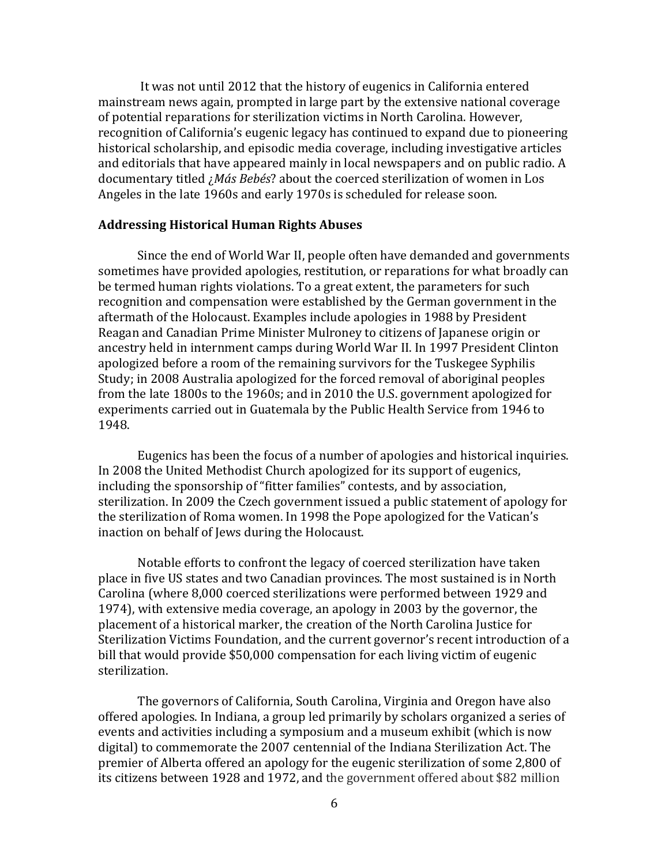It was not until 2012 that the history of eugenics in California entered mainstream news again, prompted in large part by the extensive national coverage of potential reparations for sterilization victims in North Carolina. However, recognition of California's eugenic legacy has continued to expand due to pioneering historical scholarship, and episodic media coverage, including investigative articles and editorials that have appeared mainly in local newspapers and on public radio.  $A$ documentary titled *¿Más Bebés*? about the coerced sterilization of women in Los Angeles in the late 1960s and early 1970s is scheduled for release soon.

### **Addressing!Historical!Human!Rights!Abuses**

Since the end of World War II, people often have demanded and governments sometimes have provided apologies, restitution, or reparations for what broadly can be termed human rights violations. To a great extent, the parameters for such recognition and compensation were established by the German government in the aftermath of the Holocaust. Examples include apologies in 1988 by President Reagan and Canadian Prime Minister Mulroney to citizens of Japanese origin or ancestry held in internment camps during World War II. In 1997 President Clinton apologized before a room of the remaining survivors for the Tuskegee Syphilis Study; in 2008 Australia apologized for the forced removal of aboriginal peoples from the late 1800s to the 1960s; and in 2010 the U.S. government apologized for experiments carried out in Guatemala by the Public Health Service from 1946 to 1948.

Eugenics has been the focus of a number of apologies and historical inquiries. In 2008 the United Methodist Church apologized for its support of eugenics, including the sponsorship of "fitter families" contests, and by association, sterilization. In 2009 the Czech government issued a public statement of apology for the sterilization of Roma women. In 1998 the Pope apologized for the Vatican's inaction on behalf of Jews during the Holocaust.

Notable efforts to confront the legacy of coerced sterilization have taken place in five US states and two Canadian provinces. The most sustained is in North Carolina (where 8,000 coerced sterilizations were performed between 1929 and 1974), with extensive media coverage, an apology in 2003 by the governor, the placement of a historical marker, the creation of the North Carolina Justice for Sterilization Victims Foundation, and the current governor's recent introduction of a bill that would provide \$50,000 compensation for each living victim of eugenic sterilization.

The governors of California, South Carolina, Virginia and Oregon have also offered apologies. In Indiana, a group led primarily by scholars organized a series of events and activities including a symposium and a museum exhibit (which is now digital) to commemorate the 2007 centennial of the Indiana Sterilization Act. The premier of Alberta offered an apology for the eugenic sterilization of some 2,800 of its citizens between 1928 and 1972, and the government offered about \$82 million